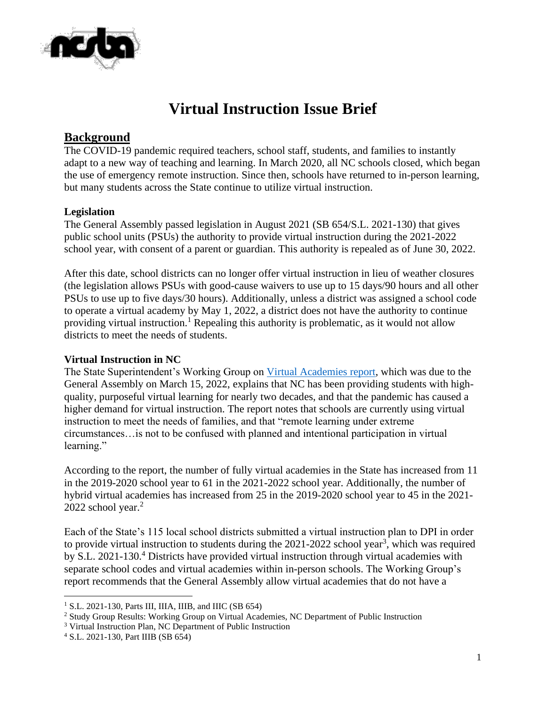

# **Virtual Instruction Issue Brief**

## **Background**

The COVID-19 pandemic required teachers, school staff, students, and families to instantly adapt to a new way of teaching and learning. In March 2020, all NC schools closed, which began the use of emergency remote instruction. Since then, schools have returned to in-person learning, but many students across the State continue to utilize virtual instruction.

#### **Legislation**

The General Assembly passed legislation in August 2021 (SB 654/S.L. 2021-130) that gives public school units (PSUs) the authority to provide virtual instruction during the 2021-2022 school year, with consent of a parent or guardian. This authority is repealed as of June 30, 2022.

After this date, school districts can no longer offer virtual instruction in lieu of weather closures (the legislation allows PSUs with good-cause waivers to use up to 15 days/90 hours and all other PSUs to use up to five days/30 hours). Additionally, unless a district was assigned a school code to operate a virtual academy by May 1, 2022, a district does not have the authority to continue providing virtual instruction.<sup>1</sup> Repealing this authority is problematic, as it would not allow districts to meet the needs of students.

#### **Virtual Instruction in NC**

The State Superintendent's Working Group on [Virtual Academies report,](https://www.ncsba.org/wp-content/uploads/2022/04/DPI-Virtual-Academies-Report.pdf) which was due to the General Assembly on March 15, 2022, explains that NC has been providing students with highquality, purposeful virtual learning for nearly two decades, and that the pandemic has caused a higher demand for virtual instruction. The report notes that schools are currently using virtual instruction to meet the needs of families, and that "remote learning under extreme circumstances…is not to be confused with planned and intentional participation in virtual learning."

According to the report, the number of fully virtual academies in the State has increased from 11 in the 2019-2020 school year to 61 in the 2021-2022 school year. Additionally, the number of hybrid virtual academies has increased from 25 in the 2019-2020 school year to 45 in the 2021- 2022 school year. $2$ 

Each of the State's 115 local school districts submitted a virtual instruction plan to DPI in order to provide virtual instruction to students during the  $2021-2022$  school year<sup>3</sup>, which was required by S.L. 2021-130.<sup>4</sup> Districts have provided virtual instruction through virtual academies with separate school codes and virtual academies within in-person schools. The Working Group's report recommends that the General Assembly allow virtual academies that do not have a

 $1$  S.L. 2021-130, Parts III, IIIA, IIIB, and IIIC (SB 654)

<sup>&</sup>lt;sup>2</sup> Study Group Results: Working Group on Virtual Academies, NC Department of Public Instruction

<sup>&</sup>lt;sup>3</sup> Virtual Instruction Plan, NC Department of Public Instruction

<sup>4</sup> S.L. 2021-130, Part IIIB (SB 654)